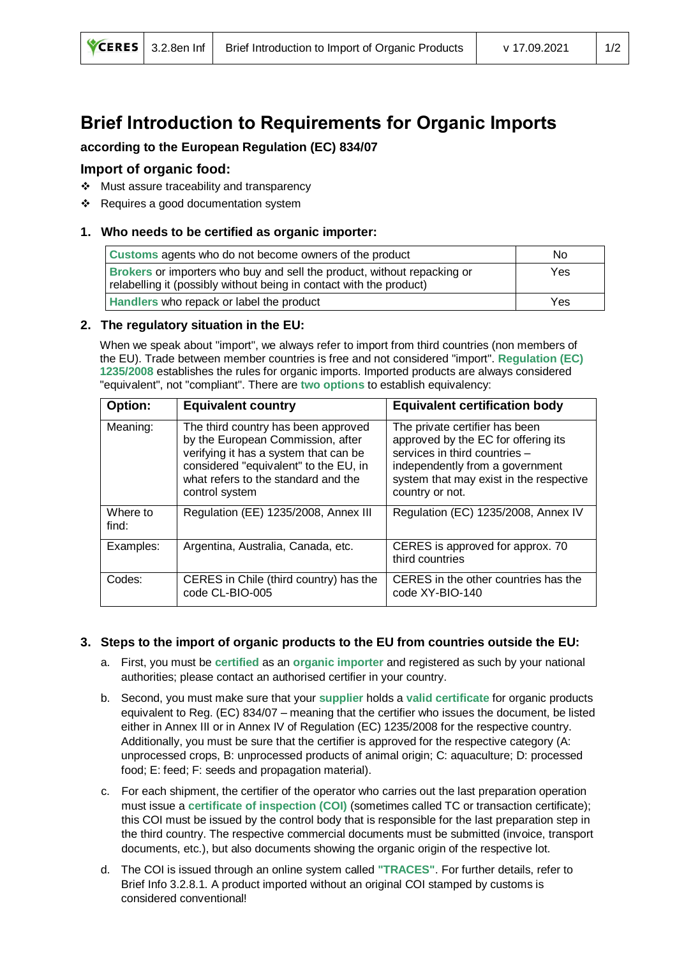# **Brief Introduction to Requirements for Organic Imports**

# **according to the European Regulation (EC) 834/07**

## **Import of organic food:**

- ❖ Must assure traceability and transparency
- ❖ Requires a good documentation system

#### **1. Who needs to be certified as organic importer:**

| Customs agents who do not become owners of the product                                                                                         | No. |
|------------------------------------------------------------------------------------------------------------------------------------------------|-----|
| Brokers or importers who buy and sell the product, without repacking or<br>relabelling it (possibly without being in contact with the product) | Yes |
| Handlers who repack or label the product                                                                                                       | Yes |

#### **2. The regulatory situation in the EU:**

When we speak about "import", we always refer to import from third countries (non members of the EU). Trade between member countries is free and not considered "import". **Regulation (EC) 1235/2008** establishes the rules for organic imports. Imported products are always considered "equivalent", not "compliant". There are **two options** to establish equivalency:

| Option:           | <b>Equivalent country</b>                                                                                                                                                                                           | <b>Equivalent certification body</b>                                                                                                                                                                    |
|-------------------|---------------------------------------------------------------------------------------------------------------------------------------------------------------------------------------------------------------------|---------------------------------------------------------------------------------------------------------------------------------------------------------------------------------------------------------|
| Meaning:          | The third country has been approved<br>by the European Commission, after<br>verifying it has a system that can be<br>considered "equivalent" to the EU, in<br>what refers to the standard and the<br>control system | The private certifier has been<br>approved by the EC for offering its<br>services in third countries -<br>independently from a government<br>system that may exist in the respective<br>country or not. |
| Where to<br>find: | Regulation (EE) 1235/2008, Annex III                                                                                                                                                                                | Regulation (EC) 1235/2008, Annex IV                                                                                                                                                                     |
| Examples:         | Argentina, Australia, Canada, etc.                                                                                                                                                                                  | CERES is approved for approx. 70<br>third countries                                                                                                                                                     |
| Codes:            | CERES in Chile (third country) has the<br>code CL-BIO-005                                                                                                                                                           | CERES in the other countries has the<br>code XY-BIO-140                                                                                                                                                 |

## **3. Steps to the import of organic products to the EU from countries outside the EU:**

- a. First, you must be **certified** as an **organic importer** and registered as such by your national authorities; please contact an authorised certifier in your country.
- b. Second, you must make sure that your **supplier** holds a **valid certificate** for organic products equivalent to Reg. (EC) 834/07 – meaning that the certifier who issues the document, be listed either in Annex III or in Annex IV of Regulation (EC) 1235/2008 for the respective country. Additionally, you must be sure that the certifier is approved for the respective category (A: unprocessed crops, B: unprocessed products of animal origin; C: aquaculture; D: processed food; E: feed; F: seeds and propagation material).
- c. For each shipment, the certifier of the operator who carries out the last preparation operation must issue a **certificate of inspection (COI)** (sometimes called TC or transaction certificate); this COI must be issued by the control body that is responsible for the last preparation step in the third country. The respective commercial documents must be submitted (invoice, transport documents, etc.), but also documents showing the organic origin of the respective lot.
- d. The COI is issued through an online system called **"TRACES"**. For further details, refer to Brief Info 3.2.8.1. A product imported without an original COI stamped by customs is considered conventional!